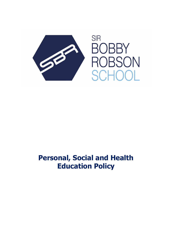

# **Personal, Social and Health Education Policy**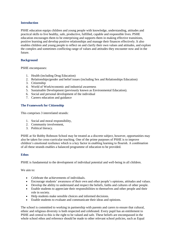#### **Introduction**

PSHE education equips children and young people with knowledge, understanding, attitudes and practical skills to live healthy, safe, productive, fulfilled, capable and responsible lives. PSHE education encourages them to be enterprising and supports them in making effective transitions, positive learning and develop positive relationships and manage their finances effectively. It also enables children and young people to reflect on and clarify their own values and attitudes, and explore the complex and sometimes conflicting range of values and attitudes they encounter now and in the future.

## **Background**

PSHE encompasses:

- 1. Health (including Drug Education)
- 2. Relationships/gender and belief issues (including Sex and Relationships Education)
- 3. Citizenship
- 4. World of Work/economic and industrial awareness
- 5. Sustainable Development (previously known as Environmental Education).
- 6. Social and personal development of the individual
- 7. Careers education and guidance

## **The Framework for Citizenship**

This comprises 3 interrelated strands:

- 1. Social and moral responsibility,
- 2. Community involvement,
- 3. Political literacy.

PSHE at Sir Bobby Robnson School may be treated as a discrete subject, however, opportunities may also be taken for cross-curricular teaching. One of the prime purposes of PSHE is to improve children's emotional resilience which is a key factor in enabling learning to flourish. A combination of all these strands enables a balanced programme of education to be provided.

#### **Ethos**

PSHE is fundamental to the development of individual potential and well-being in all children.

We aim to:

- Celebrate the achievements of individuals.
- Encourage students' awareness of their own and other people's opinions, attitudes and values.
- Develop the ability to understand and respect the beliefs, faiths and cultures of other people.
- Enable students to appreciate their responsibilities to themselves and other people and their role in society.
- Help students make sensible choices and informed decisions.
- Enable students to evaluate and communicate their ideas and opinions.

The school is committed to working in partnership with parents and carers to ensure that cultural, ethnic and religious diversity is both respected and celebrated. Every pupil has an entitlement to PSHE and central to this is the right to be valued and safe. These beliefs are encompassed in the whole school ethos and reference should be made to other relevant school policies, such as Equal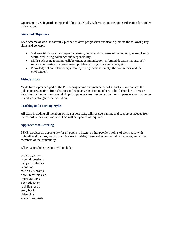Opportunities, Safeguarding, Special Education Needs, Behaviour and Religious Education for further information.

#### **Aims and Objectives**

Each scheme of work is carefully planned to offer progression but also to promote the following key skills and concepts:

- Values/attitudes such as respect, curiosity, consideration, sense of community, sense of selfworth, well-being, tolerance and responsibility.
- Skills such as negotiation, collaboration, communication, informed decision making, selfreliance, self-esteem, assertiveness, problem solving, risk assessment, etc.
- Knowledge about relationships, healthy living, personal safety, the community and the environment.

#### **Visits/Visitors**

Visits form a planned part of the PSHE programme and include out of school visitors such as the police, representatives from charities and regular visits from members of local churches. There are also information sessions or workshops for parents/carers and opportunities for parents/carers to come in and work alongside their children.

#### **Teaching and Learning Styles**

All staff, including all members of the support staff, will receive training and support as needed from the co-ordinator as appropriate. This will be updated as required.

#### **Approaches to Learning**

PSHE provides an opportunity for all pupils to listen to other people's points of view, cope with unfamiliar situations, learn from mistakes, consider, make and act on moral judgements, and act as members of the community.

Effective teaching methods will include:

activities/games group discussions using case studies **Scenarios** role play & drama news items/articles improvisations peer education real life stories story books video clips educational visits